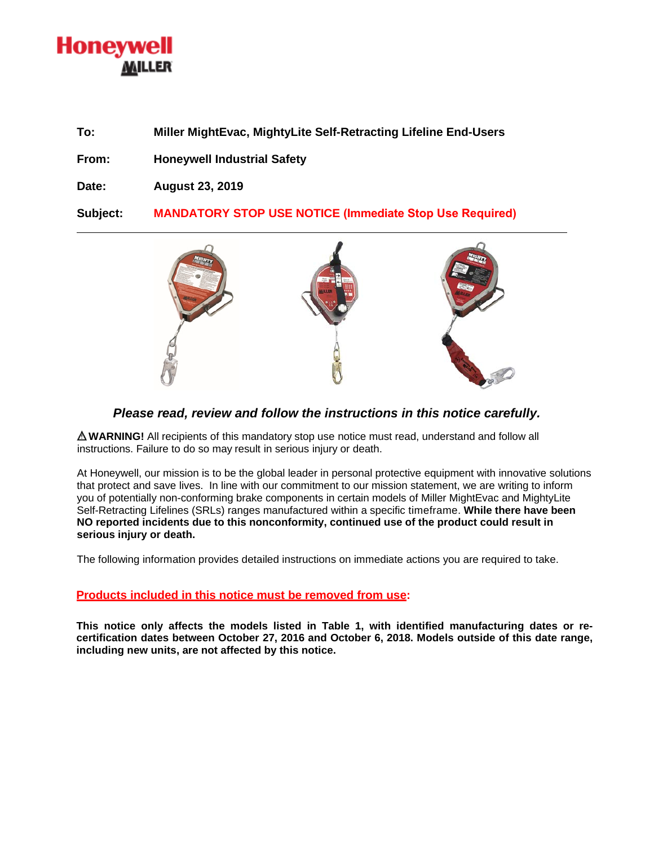## Honeywell MILLER

**To: Miller MightEvac, MightyLite Self-Retracting Lifeline End-Users**

**From: Honeywell Industrial Safety** 

**Date: August 23, 2019** 

**Subject: MANDATORY STOP USE NOTICE (Immediate Stop Use Required)**



## *Please read, review and follow the instructions in this notice carefully.*

**WARNING!** All recipients of this mandatory stop use notice must read, understand and follow all instructions. Failure to do so may result in serious injury or death.

At Honeywell, our mission is to be the global leader in personal protective equipment with innovative solutions that protect and save lives. In line with our commitment to our mission statement, we are writing to inform you of potentially non-conforming brake components in certain models of Miller MightEvac and MightyLite Self-Retracting Lifelines (SRLs) ranges manufactured within a specific timeframe. **While there have been NO reported incidents due to this nonconformity, continued use of the product could result in serious injury or death.**

The following information provides detailed instructions on immediate actions you are required to take.

## **Products included in this notice must be removed from use:**

**This notice only affects the models listed in Table 1, with identified manufacturing dates or recertification dates between October 27, 2016 and October 6, 2018. Models outside of this date range, including new units, are not affected by this notice.**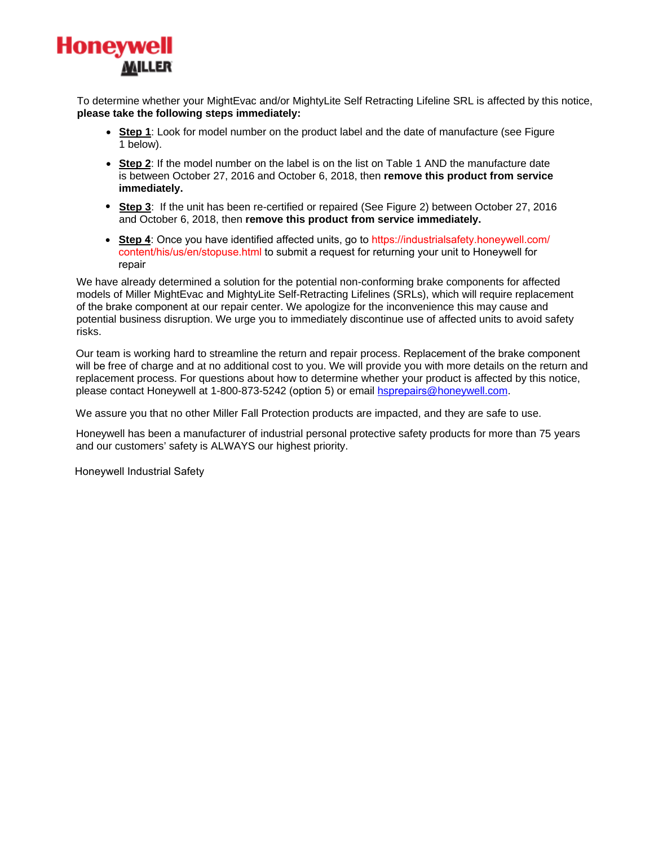

To determine whether your MightEvac and/or MightyLite Self Retracting Lifeline SRL is affected by this notice, **please take the following steps immediately:**

- **Step 1**: Look for model number on the product label and the date of manufacture (see Figure 1 below).
- **Step 2**: If the model number on the label is on the list on Table 1 AND the manufacture date is between October 27, 2016 and October 6, 2018, then **remove this product from service immediately.**
- **Step 3**: If the unit has been re-certified or repaired (See Figure 2) between October 27, 2016 and October 6, 2018, then **remove this product from service immediately.**
- **Step 4**: Once you have identified affected units, go to [https://industrialsafety.honeywell.com/](https://industrialsafety.honeywell.com/content/his/us/en/stopuse.html) [content/his/us/en/stopuse.html](https://industrialsafety.honeywell.com/content/his/us/en/stopuse.html) to submit a request for returning your unit to Honeywell for repair

We have already determined a solution for the potential non-conforming brake components for affected models of Miller MightEvac and MightyLite Self-Retracting Lifelines (SRLs), which will require replacement of the brake component at our repair center. We apologize for the inconvenience this may cause and potential business disruption. We urge you to immediately discontinue use of affected units to avoid safety risks.

Our team is working hard to streamline the return and repair process. Replacement of the brake component will be free of charge and at no additional cost to you. We will provide you with more details on the return and replacement process. For questions about how to determine whether your product is affected by this notice, please contact Honeywell at 1-800-873-5242 (option 5) or email **hsprepairs@honeywell.com.** 

We assure you that no other Miller Fall Protection products are impacted, and they are safe to use.

Honeywell has been a manufacturer of industrial personal protective safety products for more than 75 years and our customers' safety is ALWAYS our highest priority.

Honeywell Industrial Safety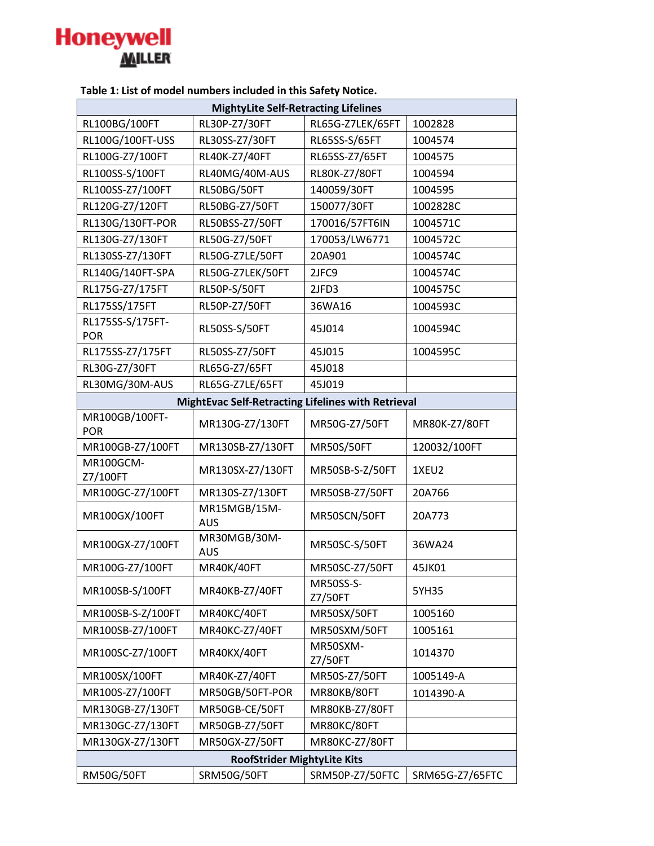

| ו מטוכ ב. בואג טו וווטמכו וומוווטכוא וווכוממכמ ווו נוווא אמוכנץ ויוטנוככ. |                                                           |                             |                 |  |  |
|---------------------------------------------------------------------------|-----------------------------------------------------------|-----------------------------|-----------------|--|--|
| <b>MightyLite Self-Retracting Lifelines</b>                               |                                                           |                             |                 |  |  |
| RL100BG/100FT                                                             | RL30P-Z7/30FT                                             | RL65G-Z7LEK/65FT            | 1002828         |  |  |
| RL100G/100FT-USS                                                          | RL30SS-Z7/30FT                                            | RL65SS-S/65FT               | 1004574         |  |  |
| RL100G-Z7/100FT                                                           | RL40K-Z7/40FT                                             | RL65SS-Z7/65FT              | 1004575         |  |  |
| RL100SS-S/100FT                                                           | RL40MG/40M-AUS                                            | RL80K-Z7/80FT               | 1004594         |  |  |
| RL100SS-Z7/100FT                                                          | RL50BG/50FT                                               | 140059/30FT                 | 1004595         |  |  |
| RL120G-Z7/120FT                                                           | RL50BG-Z7/50FT                                            | 150077/30FT                 | 1002828C        |  |  |
| RL130G/130FT-POR                                                          | RL50BSS-Z7/50FT                                           | 170016/57FT6IN              | 1004571C        |  |  |
| RL130G-Z7/130FT                                                           | RL50G-Z7/50FT                                             | 170053/LW6771               | 1004572C        |  |  |
| RL130SS-Z7/130FT                                                          | RL50G-Z7LE/50FT                                           | 20A901                      | 1004574C        |  |  |
| RL140G/140FT-SPA                                                          | RL50G-Z7LEK/50FT                                          | 2JFC9                       | 1004574C        |  |  |
| RL175G-Z7/175FT                                                           | <b>RL50P-S/50FT</b>                                       | 2JFD3                       | 1004575C        |  |  |
| RL175SS/175FT                                                             | RL50P-Z7/50FT                                             | 36WA16                      | 1004593C        |  |  |
| RL175SS-S/175FT-<br><b>POR</b>                                            | RL50SS-S/50FT                                             | 45J014                      | 1004594C        |  |  |
| RL175SS-Z7/175FT                                                          | RL50SS-Z7/50FT                                            | 45J015                      | 1004595C        |  |  |
| RL30G-Z7/30FT                                                             | RL65G-Z7/65FT                                             | 45J018                      |                 |  |  |
| RL30MG/30M-AUS                                                            | RL65G-Z7LE/65FT                                           | 45J019                      |                 |  |  |
|                                                                           | <b>MightEvac Self-Retracting Lifelines with Retrieval</b> |                             |                 |  |  |
| MR100GB/100FT-<br><b>POR</b>                                              | MR130G-Z7/130FT                                           | MR50G-Z7/50FT               | MR80K-Z7/80FT   |  |  |
| MR100GB-Z7/100FT                                                          | MR130SB-Z7/130FT                                          | <b>MR50S/50FT</b>           | 120032/100FT    |  |  |
| MR100GCM-<br>Z7/100FT                                                     | MR130SX-Z7/130FT                                          | MR50SB-S-Z/50FT             | 1XEU2           |  |  |
| MR100GC-Z7/100FT                                                          | MR130S-Z7/130FT                                           | MR50SB-Z7/50FT              | 20A766          |  |  |
| MR100GX/100FT                                                             | MR15MGB/15M-<br><b>AUS</b>                                | MR50SCN/50FT                | 20A773          |  |  |
| MR100GX-Z7/100FT                                                          | MR30MGB/30M-<br><b>AUS</b>                                | MR50SC-S/50FT               | 36WA24          |  |  |
| MR100G-Z7/100FT                                                           | MR40K/40FT                                                | MR50SC-Z7/50FT              | 45JK01          |  |  |
| MR100SB-S/100FT                                                           | MR40KB-Z7/40FT                                            | <b>MR50SS-S-</b><br>Z7/50FT | 5YH35           |  |  |
| MR100SB-S-Z/100FT                                                         | MR40KC/40FT                                               | MR50SX/50FT                 | 1005160         |  |  |
| MR100SB-Z7/100FT                                                          | MR40KC-Z7/40FT                                            | MR50SXM/50FT                | 1005161         |  |  |
| MR100SC-Z7/100FT                                                          | MR40KX/40FT                                               | MR50SXM-<br>Z7/50FT         | 1014370         |  |  |
| MR100SX/100FT                                                             | MR40K-Z7/40FT                                             | MR50S-Z7/50FT               | 1005149-A       |  |  |
| MR100S-Z7/100FT                                                           | MR50GB/50FT-POR                                           | MR80KB/80FT                 | 1014390-A       |  |  |
| MR130GB-Z7/130FT                                                          | MR50GB-CE/50FT                                            | MR80KB-Z7/80FT              |                 |  |  |
| MR130GC-Z7/130FT                                                          | MR50GB-Z7/50FT                                            | MR80KC/80FT                 |                 |  |  |
| MR130GX-Z7/130FT                                                          | MR50GX-Z7/50FT                                            | MR80KC-Z7/80FT              |                 |  |  |
| <b>RoofStrider MightyLite Kits</b>                                        |                                                           |                             |                 |  |  |
| <b>RM50G/50FT</b>                                                         | SRM50G/50FT                                               | SRM50P-Z7/50FTC             | SRM65G-Z7/65FTC |  |  |

**Table 1: List of model numbers included in this Safety Notice.**